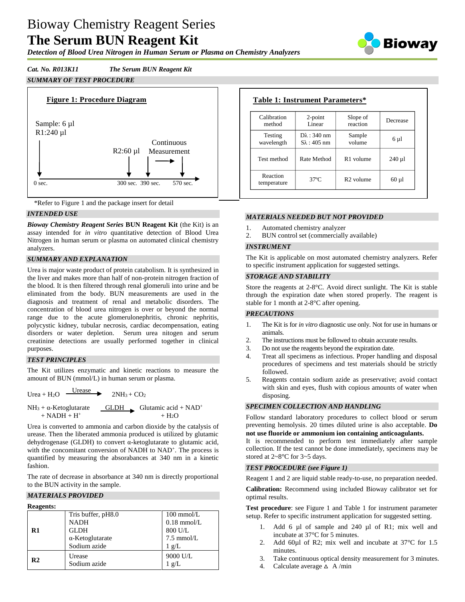# Bioway Chemistry Reagent Series **The Serum BUN Reagent Kit**

*Detection of Blood Urea Nitrogen in Human Serum or Plasma on Chemistry Analyzers*



# *Cat. No. R013K11 The Serum BUN Reagent Kit*

# *SUMMARY OF TEST PROCEDURE*





# *INTENDED USE*

*Bioway Chemistry Reagent Series* **BUN Reagent Kit** (the Kit) is an assay intended for *in vitro* quantitative detection of Blood Urea Nitrogen in human serum or plasma on automated clinical chemistry analyzers.

#### *SUMMARY AND EXPLANATION*

Urea is major waste product of protein catabolism. It is synthesized in the liver and makes more than half of non-protein nitrogen fraction of the blood. It is then filtered through renal glomeruli into urine and be eliminated from the body. BUN measurements are used in the diagnosis and treatment of renal and metabolic disorders. The concentration of blood urea nitrogen is over or beyond the normal range due to the acute glomerulonephritis, chronic nephritis, polycystic kidney, tubular necrosis, cardiac decompensation, eating disorders or water depletion. Serum urea nitogen and serum creatinine detections are usually performed together in clinical purposes.

# *TEST PRINCIPLES*

The Kit utilizes enzymatic and kinetic reactions to measure the amount of BUN (mmol/L) in human serum or plasma.

Urea + H<sub>2</sub>O  $\frac{\text{Urease}}{\text{Urease}}$  $2NH_3 + CO_2$  $NH_3 + \alpha$ -Ketoglutarate GLDH Glutamic acid + NAD<sup>+</sup>  $+ NADH + H^+$   $+ H_2O$ 

Urea is converted to ammonia and carbon dioxide by the catalysis of urease. Then the liberated ammonia produced is utilized by glutamic dehydrogenase (GLDH) to convert α-ketoglutarate to glutamic acid, with the concomitant conversion of NADH to NAD<sup>+</sup>. The process is quantified by measuring the absorabances at 340 nm in a kinetic fashion.

The rate of decrease in absorbance at 340 nm is directly proportional to the BUN activity in the sample.

#### *MATERIALS PROVIDED*

| <b>Reagents:</b> |                         |                      |
|------------------|-------------------------|----------------------|
|                  | Tris buffer, pH8.0      | $100 \text{ mmol/L}$ |
|                  | <b>NADH</b>             | $0.18$ mmol/L        |
| R1               | <b>GLDH</b>             | 800 U/L              |
|                  | $\alpha$ -Ketoglutarate | $7.5 \text{ mmol/L}$ |
|                  | Sodium azide            | $1 \text{ g/L}$      |
|                  | Urease                  | 9000 U/L             |
| R <sub>2</sub>   | Sodium azide            | $1 \text{ g/L}$      |

# **Table 1: Instrument Parameters\***

| Calibration             | $2$ -point             | Slope of              | Decrease   |
|-------------------------|------------------------|-----------------------|------------|
| method                  | Linear                 | reaction              |            |
| Testing                 | $D\lambda$ : 340 nm    | Sample                | $6 \mu l$  |
| wavelength              | $S_{\lambda}$ : 405 nm | volume                |            |
| Test method             | Rate Method            | R <sub>1</sub> volume | $240 \mu$  |
| Reaction<br>temperature | $37^{\circ}$ C         | $R2$ volume           | $60 \mu l$ |

#### *MATERIALS NEEDED BUT NOT PROVIDED*

- 1. Automated chemistry analyzer
- 2. BUN control set (commercially available)

#### *INSTRUMENT*

The Kit is applicable on most automated chemistry analyzers. Refer to specific instrument application for suggested settings.

#### *STORAGE AND STABILITY*

Store the reagents at 2-8°C. Avoid direct sunlight. The Kit is stable through the expiration date when stored properly. The reagent is stable for 1 month at 2-8°C after opening.

#### *PRECAUTIONS*

- 1. The Kit is for *in vitro* diagnostic use only. Not for use in humans or animals.
- 2. The instructions must be followed to obtain accurate results.
- 3. Do not use the reagents beyond the expiration date.
- 4. Treat all specimens as infectious. Proper handling and disposal procedures of specimens and test materials should be strictly followed.
- 5. Reagents contain sodium azide as preservative; avoid contact with skin and eyes, flush with copious amounts of water when disposing.

#### *SPECIMEN COLLECTION AND HANDLING*

Follow standard laboratory procedures to collect blood or serum preventing hemolysis. 20 times diluted urine is also acceptable. **Do not use fluoride or ammonium ion containing anticoagulants.**

It is recommended to perform test immediately after sample collection. If the test cannot be done immediately, specimens may be stored at 2~8°C for 3~5 days.

#### *TEST PROCEDURE (see Figure 1)*

Reagent 1 and 2 are liquid stable ready-to-use, no preparation needed.

**Calibration:** Recommend using included Bioway calibrator set for optimal results.

**Test procedure**: see Figure 1 and Table 1 for instrument parameter setup. Refer to specific instrument application for suggested setting.

- 1. Add 6 µl of sample and 240 µl of R1; mix well and incubate at 37°C for 5 minutes.
- 2. Add 60µl of R2; mix well and incubate at 37°C for 1.5 minutes.
- 3. Take continuous optical density measurement for 3 minutes.
- 4. Calculate average  $\triangle$  A/min